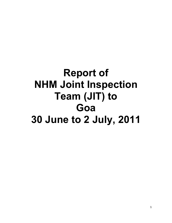# Report of NHM Joint Inspection Team (JIT) to Goa 30 June to 2 July, 2011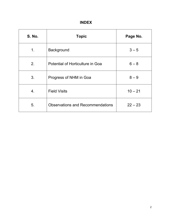### INDEX

| <b>S. No.</b> | <b>Topic</b>                            | Page No.  |
|---------------|-----------------------------------------|-----------|
| 1.            | Background                              | $3 - 5$   |
| 2.            | Potential of Horticulture in Goa        | $6 - 8$   |
| 3.            | Progress of NHM in Goa                  | $8 - 9$   |
| 4.            | <b>Field Visits</b>                     | $10 - 21$ |
| 5.            | <b>Observations and Recommendations</b> | $22 - 23$ |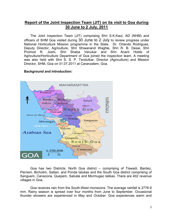#### Report of the Joint Inspection Team (JIT) on its visit to Goa during 30 June to 2 July, 2011

The Joint Inspection Team (JIT) comprising Shri S.K.Kaul, AD (NHM) and officers of SHM Goa visited during 30 June to 2 July to review progress under National Horticulture Mission programme in the State. Dr. Orlando Rodrigues, Deputy Director, Agriculture, Shri Shiwanand Waghle, Shri R. B. Desai, Shri Promod R. Joshi, Shri Shaba Venukar and Shri Anant Hoble of Agriculture/Horticulture Department of Goa joined the inspection team. A meeting was also held with Shri S. S. P. Tendulkar, Director (Agriculture) and Mission Director, SHM, Goa on 01.07.2011 at Caranzalem, Goa.

#### Background and Introduction:



Goa has two Districts: North Goa district – comprising of Tiswadi, Bardez, Pernem, Bicholim, Sattari, and Ponda talukas and the South Goa district comprising of Sanguem, Canacona, Quepem, Salcate and Mormugao talikas. There are 402 revenue villages in Goa.

Goa receives rain from the South-West monsoons. The average rainfall is 2776.9 mm. Rainy season is spread over four months from June to September. Occasional thunder showers are experienced in May and October. Goa experiences warm and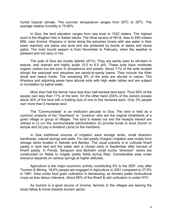humid tropical climate. The summer temperature ranges from  $24^0C$  to  $30^0C$ . The average relative humidity is 75.90%.

In Goa, the land elevation ranges from sea level to 1022 meters. The highest point is the Wagheri hills in Sattari taluka. The Ghat section of NH-\$, rises to 650 meters MSL near Anmod. Khazans or lands along the estuaries (rivers with sea water in their lower reaches) are below sea level and are protected by bunds or dykes and sluice gates. The main tourist season is from November to February, when the weather is pleasant and not rainy or hot.

The soils of Goa are mostly lateritic (81%). They are sandy loam to silt-loam in texture, well drained and highly acidic (5.5 to 6.5 pH). These soils have moderate organic carbon but are poor in phosphorus and potash. About 11% of the soils located alongh the seacoast and estuaries are sandy-to-sandy loams. They include the Kher lands and beach fronts. The remaining 8% of the soils are alluvial in nature. The Khazans and adjoining areas have alluvial soils with high water tables and are subject to inundation by saline water.

More than half the farmer have less than half-hectare land each. Thus 56% of the people own less than 11% of the land. On the other hand 20A% of the owners posses about 30% of the land with a holding size of one to five hectares each. Only 2% people own more than 5 hectares land.

The "Communidade" is an institution peculiar to Goa. The land is held as a common property of the "Gaonkars" or "Joneiros" who are the original inhabitants of a given village or group of villages. The land is leased out and the receipts thereof are utilized to (i) run the communidade administration (ii) provide funds to local church or temple and (iii) pay a dividend (Jons) to the members.

In Goa traditional sources of irrigation were storage tanks, small diversion bandharas, natural springs and wells. For rabi paddy (Vaigon) irrigation was mostly from storage tanks located in Salcete and Bardez. The usual practice is to cultivate kharif paddy in tank bed and the water weir is closed early in September after harvest of Kharif paddy. In Ponda, Sanguem and Bicholim small kucha "diversion" works are constructed on Nalas to irrigate paddy fields during Rabi. Considerable area under arecanut depends on various springs at higher altitudes.

Agriculture is the major economic activity contributing 6% to the SDP, only after Tourism & Mining. 16.6% people are engaged in Agriculture in 2001 compared to 27.5% in 1991. Area under food grain cultivation is decreasing, as farmers prefer horticultural crops as less labour intensive. About 80% of the Kharif & rabi cultivation is under HYV.

As tourism is a good source of income, farmers in the villages are leaving the lands fallow & move towards tourism sector.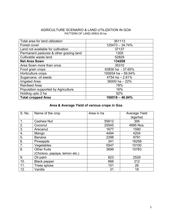#### AGRICULTURE SCENARIO & LAND UTILIZATION IN GOA PATTERN OF LAND AREA IN ha.

| Total area for land utilization         | 361113             |
|-----------------------------------------|--------------------|
| Forest cover                            | $125473 - 34.74%$  |
| Land not available for cultivation      | 37137              |
| Permanent pastures & other grazing land | 1305               |
| Cultivable waste land                   | 52829              |
| <b>Net Area Sown</b>                    | 134208             |
| Area Sown more than once                | 35310              |
| Food grain crops                        | 63830 ha - 37.65%  |
| Horticulture crops                      | 100934 ha - 59.54% |
| Sugarcane, oil seeds                    | 4754 ha $-2.81\%$  |
| <b>Irrigated Area</b>                   | 36000 ha - 22%     |
| <b>Rainfeed Area</b>                    | 78%                |
| Population supported by Agriculture     | 16%                |
| Holding upto 2 ha                       | 92%                |
| <b>Total cropped Area</b>               | $169518 - 46.94\%$ |

#### Area & Average Yield of various crops in Goa

| S. No. | Name of the crop              | Area in ha | Average Yield<br>(kgs/ha) |
|--------|-------------------------------|------------|---------------------------|
| 1.     | <b>Cashew Nut</b>             | 55612      | 395                       |
| 2.     | Coconut                       | 25545      | 4995 Nos.                 |
| 3.     | Arecanut                      | 1677       | 1590                      |
| 4.     | Mango                         | 4494       | 4204                      |
| 5.     | <b>Banana</b>                 | 2398       | 9791                      |
| 6.     | Pineapple                     | 341        | 16258                     |
| 7.     | Vegetables                    | 5547       | 10100                     |
| 8.     | Other fruits                  | 3699       | 10783                     |
|        | (Chickoo, papaya, lemon etc.) |            |                           |
| 9.     | Oil palm                      | 823        | 2529                      |
| 10.    | <b>Black pepper</b>           | 666        | 312                       |
| 11.    | <b>Trees spices</b>           | 101        | 26                        |
| 12.    | Vanilla                       | 31         | 18                        |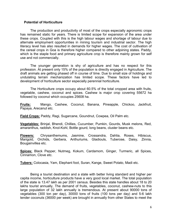#### Potential of Horticulture

 The production and productivity of most of the crops especially agronomic crops has remained static for years. There is limited scope for expansion of the area under these crops. Coupled with this is the high labour wages and shortage of labour due to alternate employment opportunities in mining tourism and industrial sector. The high literacy level has also resulted in demands for higher wages. The cost of cultivation of the cereal crops in Goa is therefore higher compared to other adjoining states. Paddy, which is the staple food and primary agriculture crop is therefore mainly grown for self use and not commercially.

 The younger generation is shy of agriculture and has no respect for this profession. At present only 15% of the population is directly engaged in Agriculture. The draft animals are getting phased off in course of time. Due to small size of holdings and undulating terrain mechanization has limited scope. These factors have led to development of horticulture sector especially perennial horticulture.

 The Horticulture crops occupy about 60.5% of the total cropped area with fruits, vegetable, cashew, coconut and spices. Cashew is major crop covering 55672 ha followed by coconut which occupies 25608 ha.

Fruits: Mango, Cashew, Coconut, Banana, Pineapple, Chickoo, Jackfruit, Papaya, Arecanut etc.

Field Crops: Paddy, Ragi, Sugarcane, Goundnut, Cowpea, Oil Palm etc.

Vegetables: Brinjal, Bhendi, Chillies, Cucumber, Pumkin, Gourds, Musk melons, Red, amaranthus, raddish, Knol-Kohl, Bottle gourd, long beans, cluster beans etc.

Flowers: Chrysanthemums, Jasmine, Crossandra, Dahlia, Roses, Hibiscus, Marigold, Orchids, Gerbera, Anthuriums, Gladiouls, Tuberose, Daisy, Zinnia, Bougainvillea etc.

Spices: Black Pepper, Nutmeg, Kokum, Cardamom, Ginger, Turmeric, all Spices, Cinnamon, Clove etc.

Tubers: Colocasia, Yam, Elephant foot, Suran, Kange, Sweet Potato, Madi etc.

 Being a tourist destination and a state with better living standard and higher per capita income, horticulture products have a very good local market. The total population of the state is 13.47 lakh as per 2001 census. Besides this state handles about 18 to 20 lakhs tourist annually, The demand of fruits, vegetables, coconut, cashew-nuts to this large population of 32 lakh annually is tremendous. At present about 90000 tons of vegetables (300 ton per day), 30000 tons of fruits (100 tons per day) and 5-6 lakh tender coconuts (36000 per week) are brought in annually from other States to meet the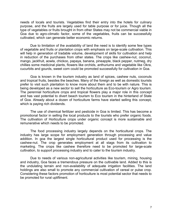needs of locals and tourists. Vegetables find their entry into the hotels for culinary purpose, and the fruits are largely used for table purpose or for juice. Though all the type of vegetables or fruits brought in from other States may not be commercial viable in Goa due to agro-climatic factor, some of the vegetables, fruits can be successfully cultivated, which can generate better economic returns.

 Due to limitation of the availability of land the need is to identify some few types of vegetable and fruits or plantation crops with emphasis on large-scale cultivation. This will help in generation of tradable volume, development of skills for cultivation and help in reduction of the purchases from other states. The crops like cashew-nut, coconut, mango, jackfruit, aowla, chickoo, papaya, banana, pineapple, black pepper, nutmeg, dry chillies some medicinal plants, flowers like orchids, anthuriums and vegetable like Okra, cucurbits and gourds, sweet corn could be promoted successfully for cultivation in Goa.

 Goa is known in the tourism industry as land of spices, cashew nuts, coconuts and tropical fruits, besides the beaches. Many of the foreign as well as domestic tourists prefer to visit such plantation to know more about them and to be with nature. This is being developed as a new sector to sell the horticulture as Eco-tourism or Agro tourism. The perennial horticulture crops and tropical flowers play a major role in this concept and has vast potential to divert beach tourism to Eco tourism in the hinterland of State of Goa. Already about a dozen of horticulture farms have started selling this concept, which is paying rich dividends.

 The use of chemical fertilizer and pesticide in Goa is limited. This has become a promotional factor in selling the local products to the tourists who prefer organic foods. The cultivation of Horticulture crops under organic concept is more sustainable and remunerative which needs to be promoted.

 The food processing industry largely depends on the horticultural crops. The industry has large scope for employment generation through processing and value addition. In goa the largest single horticultural product used for processing is the cashew-nut. The crop generates employment at all stags from its cultivation to marketing. The crops like cashew therefore need to be promoted for large-scale cultivation, to support processing industry and to cater to the tourism industry.

 Due to needs of various non-agricultural activities like tourism, mining, housing and industry, Goa faces a tremendous pressure on the cultivable land. Added to this is the undulating terrain and non-availability of adequate irrigation facilities. The land holdings are also small to promote any commercial cultivation of cereal or pulse crop. Considering these factors promotion of horticulture is most potential sector that needs to be promoted for rural upliftment.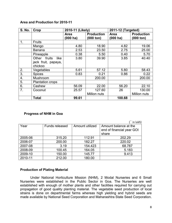#### Area and Production for 2010-11

| <b>S. No.</b>  | Crop                    | 2010-11 (Likely) |                   | 2011-12 (Targeted) |                   |  |  |
|----------------|-------------------------|------------------|-------------------|--------------------|-------------------|--|--|
|                |                         | Area             | <b>Production</b> | <b>Area</b>        | <b>Production</b> |  |  |
|                |                         | $(000)$ ha)      | (000 ton)         | $(000)$ ha)        | (000 ton)         |  |  |
| 1.             | Fruits                  |                  |                   |                    |                   |  |  |
|                | Mango                   | 4.80             | 18.90             | 4.82               | 19.06             |  |  |
|                | <b>Banana</b>           | 2.53             | 23.50             | 2.75               | 25.00             |  |  |
|                | Pineapple               | 0.38             | 5.50              | 0.40               | 5.70              |  |  |
|                | Other fruits<br>like    | 3.80             | 39.90             | 3.85               | 40.40             |  |  |
|                | jack fruit, papaya,     |                  |                   |                    |                   |  |  |
|                | chickoo                 |                  |                   |                    |                   |  |  |
| 2.             | Vegetables              | 5.61             | 57.12             | 5.80               | 58.43             |  |  |
| 3.             | <b>Spices</b>           | 0.83             | 0.21              | 0.86               | 0.22              |  |  |
| 4.             | Mushroom                |                  | 200.00            |                    | 200.00            |  |  |
| 5.             | <b>Plantation crops</b> |                  |                   |                    |                   |  |  |
| 6.             | Cashew                  | 56.09            | 22.00             | 56.20              | 22.10             |  |  |
| 7 <sub>1</sub> | Coconut                 | 25.57            | 127.60            | 26                 | 130.00            |  |  |
|                |                         |                  | Million nuts      |                    | Million nuts      |  |  |
|                | <b>Total</b>            | 99.61            |                   | 100.68             |                   |  |  |

#### Progress of NHM in Goa

|         |                |                 | in lakh)                  |
|---------|----------------|-----------------|---------------------------|
| Year    | Funds released | Amount utilized | Amount balance at the     |
|         |                |                 | end of financial year GOI |
|         |                |                 | share                     |
| 2005-06 | 315.20         | 112.91          | 202.29                    |
| 2006-07 | 200.00         | 182.27          | 220.02                    |
| 2007-08 | 3.19           | 154.423         | 68.787                    |
| 2008-09 | 100.45         | 164.05          | 5.183                     |
| 2009-10 | 150.00         | 145.77          | 9.413                     |
| 2010-11 | 212.00         | 180.00          |                           |

#### Production of Plating Material

 Under National Horticulture Mission (NHM), 2 Modal Nurseries and 6 Small Nurseries were established in the Public Sector in Goa. The Nurseries are well established with enough of mother plants and other facilities required for carrying out propagation of good quality planting material. The vegetable seed production of local strains is done on departmental farms whereas high yielding and hybrid seeds are made available by National Seed Corporation and Maharashtra State Seed Corporation.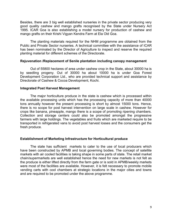Besides, there are 3 big well established nurseries in the private sector producing very good quality cashew and mango grafts recognised by the State under Nursery Act 1995. ICAR Goa is also establishing a model nursery for production of cashew and mango grafts on their Krishi Vigyan Kendra Farm at Ela Old Goa.

 The planting materials required for the NHM programme are obtained from the Public and Private Sector nurseries. A technical committee with the assistance of ICAR has been nominated by the Director of Agriculture to inspect and reserve the required planting material for different schemes of the Directorate.

#### Rejuvenation /Replacement of Senile plantation including canopy management

 Out of 55800 hectares of area under cashew crop in the State, about 30000 ha is by seedling progeny. Out of 30000 ha about 10000 ha is under Goa Forest Development Corporation Ltd., who are provided technical support and assistance by Directorate of Cashew & Cocoa Development, Kochi.

#### Integrated Post Harvest Management

 The major horticulture produce in the state is cashew which is processed within the available processing units which has the processing capacity of more than 40000 tons annually however the present processing is short by almost 15000 tons. Hence, there is no scope for post harvest intervention on large scale in cashew. However for crops like banana, pineapple, mango there is a scope of promoting ripening chambers. Collection and storage centers could also be promoted amongst the progressive farmers with large holdings. The vegetables and fruits which are marketed require to be transported in refrigerated vans to avoid post harvest losses and the consumers get the fresh produce.

#### Establishment of Marketing Infrastructure for Horticultural produce

 The state has sufficient markets to cater to the use of local producers which have been constructed by APMB and local governing bodies. The concept of satellite markets with air cooled facilities is taking shape in some parts of state. The retail market chain/supermarkets are well established hence the need for new markets is not felt as the produce is either lifted directly from the farm gate or is sold in APMB/weekly markets were most of the facilities are available. However, it is felt necessary to promote mobile vending carts with cool chambers at strategic locations in the major cities and towns and are required to be promoted under the above programme.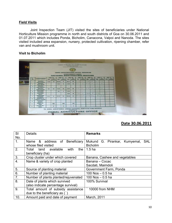#### Field Visits

 Joint Inspection Team (JIT) visited the sites of beneficiaries under National Horticulture Mission programme in north and south districts of Goa on 30.06.2011 and 01.07.2011 which includes Ponda, Bicholim, Canacona, Valpoi and Nanoda. The sites visited included area expansion, nursery, protected cultivation, ripening chamber, refer van and mushroom unit.

#### Visit to Bicholim

|               | <b>HEAT REMOVE THE PIPE.</b><br>THESE PURSIES OF ALBERTATING<br><b>WARDWITE BREAKLESS</b><br><b>SHARRY IN IT WAS A PARTIES FOR THE R. P. LEWIS CO., LANSING MICH.</b><br>FORESA AGENCIALTURAL GETTICS BICHOLISE<br><b>ACHIEVENCHTS UNDER</b><br>NULLERING HOR FICULTING THE WILS STAND |              |                                                                                            |               |                                  |               |                   |                |                  |                                                                                                                           |                                                                                                |              |                   |              |       |  |  |
|---------------|----------------------------------------------------------------------------------------------------------------------------------------------------------------------------------------------------------------------------------------------------------------------------------------|--------------|--------------------------------------------------------------------------------------------|---------------|----------------------------------|---------------|-------------------|----------------|------------------|---------------------------------------------------------------------------------------------------------------------------|------------------------------------------------------------------------------------------------|--------------|-------------------|--------------|-------|--|--|
| <b>TEST</b>   | COMPONENT                                                                                                                                                                                                                                                                              |              | 200221-025                                                                                 |               | <b>CARD LEST</b><br><b>WATER</b> |               | 2987.88<br>\$8.97 |                | 2985-28<br>48.92 |                                                                                                                           | 2009-02<br>38.95                                                                               | 3810-31      | 198.90            | $381 - 12$   | 19.91 |  |  |
| <b>Blue</b>   | West Bree                                                                                                                                                                                                                                                                              | <b>MAKIN</b> | <b>TEL 227</b><br><b><i>STATISTICS</i></b>                                                 | <b>WHEEL</b>  | --                               | <b>MARINE</b> | <b>STATISTICS</b> | <b>MAIL</b>    | <b>CHARLES</b>   | <b>MAR</b>                                                                                                                | <b>SERVICES</b>                                                                                | <b>SHILL</b> | <b>STATISTICS</b> | <b>ABILE</b> | -     |  |  |
| ×             | <b><i><i><u>VENTER CASTING</u></i></i></b>                                                                                                                                                                                                                                             | <b>YEAR</b>  | 22                                                                                         | 30.33         | <b>WE</b>                        | <b>YBJY</b>   | 22                |                | <b>IFE</b>       | ロマキトコド                                                                                                                    |                                                                                                | $16 - 21$    | $-1$              |              |       |  |  |
| ×             | <b>Book Bowley</b><br><b>MARINE MARINE</b>                                                                                                                                                                                                                                             | $\sim$       | <b>Contract</b>                                                                            | 330           | 36                               | 2.2%          | <b>TS</b>         | m              |                  | 京江西町三井                                                                                                                    |                                                                                                | <b>START</b> | w                 |              |       |  |  |
| $\Rightarrow$ | <b>How Bred</b><br>similar Chickens                                                                                                                                                                                                                                                    | $\sim$       | $\sim$                                                                                     | $\frac{1}{2}$ | -                                | <b>State</b>  |                   |                |                  | $\sim$                                                                                                                    | $\frac{1}{2} \left( \frac{1}{2} \right) \left( \frac{1}{2} \right) \left( \frac{1}{2} \right)$ | -            | $\sim$            |              |       |  |  |
| a.            | Week Zirks:<br><b><i>AMERICA BALLARA</i></b>                                                                                                                                                                                                                                           | 4.91         | -54                                                                                        | <b>3.54</b>   | 38                               | 加速度           | <b>ATT</b>        | 台湾名            | 124              | 6.08                                                                                                                      | 送手                                                                                             | みなればの        |                   |              |       |  |  |
| $\Rightarrow$ | Senior Monday<br><b>POSSIBILITY</b>                                                                                                                                                                                                                                                    | $\sim$       | $-$                                                                                        | 取之            | ×                                | 3,25          | ٠                 | $\sim$         | <b>Color</b>     | $\frac{1}{2} \left( \frac{1}{2} \right) \left( \frac{1}{2} \right) \left( \frac{1}{2} \right) \left( \frac{1}{2} \right)$ | -                                                                                              | -            | $\sim$            |              |       |  |  |
| $\rightarrow$ | <b>Area user</b><br><b>Saless</b>                                                                                                                                                                                                                                                      | $\sim$       | -                                                                                          | $\sim$        | $\sim$                           | 花成区           | 10 <sup>2</sup>   | <b>Section</b> | s                | <b>UNCERT</b>                                                                                                             | 堂                                                                                              | $2 - 24$     |                   |              |       |  |  |
| ÷             | <b><i><u>Researcher</u></i></b><br>at Easthese                                                                                                                                                                                                                                         | 23.8         | 41                                                                                         | 32.37         | 45                               | 729.954       | 32.3              |                | 31242 5-3        |                                                                                                                           | 2212 天心                                                                                        | 国文           | 55                |              |       |  |  |
| $\mathbf{m}$  | <b>Adoption of</b><br><b>Breakers</b> Farmsterg                                                                                                                                                                                                                                        | $\sim$       | $-$                                                                                        | $\sim$        | $\sim$                           | $\sim$        | $\sim$            | -              | -                |                                                                                                                           | -                                                                                              | -            | $\frac{1}{2}$     |              |       |  |  |
| $\mathbf{m}$  | <b>Training to</b>                                                                                                                                                                                                                                                                     |              |                                                                                            |               |                                  |               |                   |                |                  |                                                                                                                           |                                                                                                |              |                   |              |       |  |  |
| $-1$          | formers.<br><b>Mittgleise zine:</b>                                                                                                                                                                                                                                                    |              | 386                                                                                        |               | 105                              |               | $112$             |                |                  |                                                                                                                           |                                                                                                |              |                   |              |       |  |  |
| <b>MAX</b>    | <b>State</b><br><b>Butside fire</b><br><b>Silade</b>                                                                                                                                                                                                                                   |              | <b>ur</b>                                                                                  |               | 32                               |               | ×                 |                |                  |                                                                                                                           |                                                                                                |              |                   |              |       |  |  |
|               |                                                                                                                                                                                                                                                                                        |              | TO AVAIL ASSISTANCE UNDER NATIONAL HORTICULTURE MISSION<br><b>ZQNAL AGRICULTURE OFFICE</b> |               |                                  |               | CONTACT           |                |                  |                                                                                                                           |                                                                                                |              |                   |              |       |  |  |

| SI  | <b>Details</b>                                   | <b>Remarks</b>                    |  |  |  |  |
|-----|--------------------------------------------------|-----------------------------------|--|--|--|--|
| No. |                                                  |                                   |  |  |  |  |
| 1.  | &<br>of<br><b>Beneficiary</b><br>address<br>Name | Mukund G. Pirankar, Kumyemal, SAL |  |  |  |  |
|     | whose filed visited                              | <b>Bicholim</b>                   |  |  |  |  |
| 2.  | available<br>Total<br>land<br>with<br>the        | 1.5 <sub>ha</sub>                 |  |  |  |  |
|     | beneficiary (ha)                                 |                                   |  |  |  |  |
| 3.  | Crop cluster under which covered                 | Banana, Cashew and vegetables     |  |  |  |  |
| 4.  | Name & variety of crop planted                   | Banana - Cocac                    |  |  |  |  |
|     |                                                  | Sacdati, Maimdoli                 |  |  |  |  |
| 5.  | Source of planting material                      | Government Farm, Ponda            |  |  |  |  |
| 6.  | Number of planting material                      | 100 Nos $-$ 0.5 ha                |  |  |  |  |
| 7.  | Number of plants planted/rejuvenated             | 100 Nos $-$ 0.5 ha                |  |  |  |  |
| 8.  | Date of plants which survived                    | 100% Survival                     |  |  |  |  |
|     | (also indicate percentage survival)              |                                   |  |  |  |  |
| 9.  | Total amount of subsidy assistance               | 10000 from NHM                    |  |  |  |  |
|     | due to the beneficiary as $($ $)$                |                                   |  |  |  |  |
| 10. | Amount paid and date of payment                  | March, 2011                       |  |  |  |  |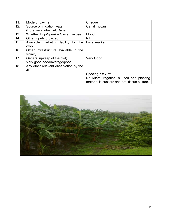| 11. | Mode of payment                       | Cheque                                      |
|-----|---------------------------------------|---------------------------------------------|
| 12. | Source of irrigation water            | <b>Canal Ticcari</b>                        |
|     | (Bore well/Tube well/Canel)           |                                             |
| 13. | Whether Drip/Sprinkle System in use   | Flood                                       |
| 14. | Other inputs provided                 | Nil                                         |
| 15. | Available marketing facility for the  | Local market                                |
|     | crop                                  |                                             |
| 16. | Other infrastructure available in the |                                             |
|     | vicinity                              |                                             |
| 17. | General upkeep of the plot;           | <b>Very Good</b>                            |
|     | Very good/good/average/poor.          |                                             |
| 18. | Any other relevant observation by the |                                             |
|     | JIT                                   |                                             |
|     |                                       | Spacing 7 x 7 mt                            |
|     |                                       | No Micro Irrigation is used and planting    |
|     |                                       | material is suckers and not tissue culture. |

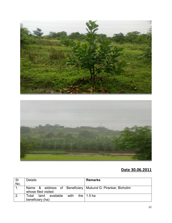



| -SI          | <b>Details</b>                                                                      | <b>Remarks</b>     |
|--------------|-------------------------------------------------------------------------------------|--------------------|
| No.          |                                                                                     |                    |
|              | Name & address of Beneficiary   Mukund G. Pirankar, Bicholim<br>whose filed visited |                    |
| $\mathbf{2}$ | available<br>with<br>Total<br>land                                                  | the $\vert$ 1.5 ha |
|              | beneficiary (ha)                                                                    |                    |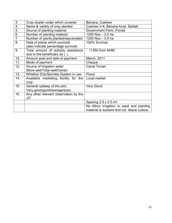|                                       | Banana, Cashew                                                     |
|---------------------------------------|--------------------------------------------------------------------|
|                                       | Cashew V-4, Banana local, Saldati                                  |
| Source of planting material           | Government Farm, Ponda                                             |
| Number of planting material           | 1250 Nos $-$ 0.5 ha                                                |
| Number of plants planted/rejuvenated  | 1250 Nos $-0.5$ ha                                                 |
| Date of plants which survived         | 100% Survival                                                      |
| (also indicate percentage survival)   |                                                                    |
| Total amount of subsidy assistance    | 11250 from NHM                                                     |
| due to the beneficiary as (`)         |                                                                    |
| Amount paid and date of payment       | March, 2011                                                        |
| Mode of payment                       | Cheque                                                             |
| Source of irrigation water            | <b>Canal Ticcari</b>                                               |
| (Bore well/Tube well/Canel)           |                                                                    |
| Whether Drip/Sprinkle System in use   | Flood                                                              |
| Available marketing facility for the  | Local market                                                       |
| crop                                  |                                                                    |
| General upkeep of the plot;           | <b>Very Good</b>                                                   |
| Very good/good/average/poor.          |                                                                    |
| Any other relevant observation by the |                                                                    |
| JIT                                   |                                                                    |
|                                       | Spacing 2.5 x 2.5 mt                                               |
|                                       | No Micro Irrigation is used and planting                           |
|                                       | material is suckers and not tissue culture.                        |
|                                       | Crop cluster under which covered<br>Name & variety of crop planted |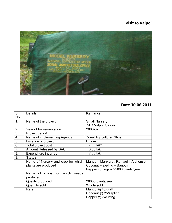# Visit to Valpoi



| SI               | <b>Details</b>                     | <b>Remarks</b>                        |  |  |  |
|------------------|------------------------------------|---------------------------------------|--|--|--|
| No.              |                                    |                                       |  |  |  |
| 1.               | Name of the project                | <b>Small Nursery</b>                  |  |  |  |
|                  |                                    | ZAO Valpoi, Satoni                    |  |  |  |
| 2.               | Year of Implementation             | 2006-07                               |  |  |  |
| $\overline{3}$ . | Project period                     |                                       |  |  |  |
| 4.               | Name of implementing Agency        | Zonal Agriculture Officer             |  |  |  |
| 5.               | Location of project                | <b>Dhave</b>                          |  |  |  |
| 6.               | Total project cost                 | 7.00 lakh                             |  |  |  |
| 7.               | Amount Released by DAC             | 3.00 lakh                             |  |  |  |
| 8.               | Expenditure incurred               | 7.00 lakh                             |  |  |  |
| 9.               | <b>Status</b>                      |                                       |  |  |  |
|                  | Name of Nursery and crop for which | Mango – Mankurat, Ratnagiri, Alphonso |  |  |  |
|                  | plants are produced                | Coconut - sapling - Banouli           |  |  |  |
|                  |                                    | Pepper cuttings - 25000 plants/year   |  |  |  |
|                  | Name of crops for which seeds      |                                       |  |  |  |
|                  | produced                           |                                       |  |  |  |
|                  | Quality produced                   | 26000 plants/year                     |  |  |  |
|                  | <b>Quantity sold</b>               | Whole sold                            |  |  |  |
|                  | Rate                               | Mango @ 40/graft                      |  |  |  |
|                  |                                    | Coconut @ 25/sapling                  |  |  |  |
|                  |                                    | Pepper @ 5/cutting                    |  |  |  |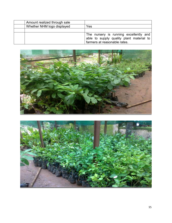| Amount realized through sale |                                                                                                                    |
|------------------------------|--------------------------------------------------------------------------------------------------------------------|
| Whether NHM logo displayed   | Yes                                                                                                                |
|                              |                                                                                                                    |
|                              | The nursery is running excellently and<br>able to supply quality plant material to<br>farmers at reasonable rates. |



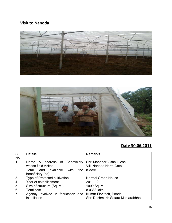### Visit to Nanoda





| <b>SI</b>      | <b>Details</b>                      | <b>Remarks</b>                   |
|----------------|-------------------------------------|----------------------------------|
| No.            |                                     |                                  |
| 1.             | Beneficiary<br>Name & address of    | Shri Mandhar Vishnu Joshi        |
|                | whose field visited                 | Vill. Nanoda North Gate          |
| 2.             | Total land available<br>with<br>the | 8 Acre                           |
|                | beneficiary (ha)                    |                                  |
| 3.             | Type of Protected cultivation       | <b>Normal Green House</b>        |
| 4.             | Year of establishment               | 2011-12                          |
| 5.             | Size of structure (Sq. M.)          | 1000 Sq. M.                      |
| 6.             | <b>Total cost</b>                   | 8.0388 lakh                      |
| 7 <sub>1</sub> | Agency involved in fabrication and  | Kumar Floritech, Ponda           |
|                | installation                        | Shri Deshmukh Satara Mahiarabhho |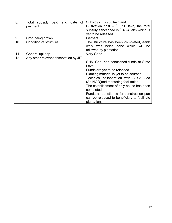| 8.  | Total subsidy paid and<br>date<br>of  | Subsidy - ` 3.988 lakh and                   |
|-----|---------------------------------------|----------------------------------------------|
|     | payment                               | Cultivation $cost - 0.96$ lakh, the total    |
|     |                                       | subsidy sanctioned is 1.94 lakh which is     |
|     |                                       | yet to be released                           |
| 9.  | Crop being grown                      | Gerbera                                      |
| 10. | Condition of structure                | The structure has been completed, earth      |
|     |                                       | work was being done which will be            |
|     |                                       | followed by plantation.                      |
| 11. | General upkeep                        | Very Good                                    |
| 12. | Any other relevant observation by JIT |                                              |
|     |                                       | SHM Goa, has sanctioned funds at State       |
|     |                                       | Level.                                       |
|     |                                       | Funds are yet to be released.                |
|     |                                       | Planting material is yet to be sourced       |
|     |                                       | Technical collaboration with SESA Goa        |
|     |                                       | (An NGO) and marketing facilitation          |
|     |                                       | The establishment of poly house has been     |
|     |                                       | completed                                    |
|     |                                       | Funds as sanctioned for construction part    |
|     |                                       | can be released to beneficiary to facilitate |
|     |                                       | plantation.                                  |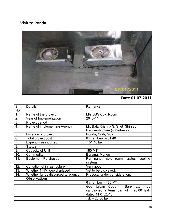# Visit to Ponda



## Date 01.07.2011

| <b>SI</b> | <b>Details</b>                    | <b>Remarks</b>                                                    |
|-----------|-----------------------------------|-------------------------------------------------------------------|
| No.       |                                   |                                                                   |
| 1.        | Name of the project               | M/s SBS Cold Room                                                 |
| 2.        | Year of Implementation            | 2010-11                                                           |
| 3.        | Project period                    |                                                                   |
| 4.        | Name of implementing Agency       | Mr. Bala Krishna S. Shet Shirsad<br>Partnership firm (4 Partners) |
| 5.        | Location of project               | Ponda, Curti, Goa                                                 |
| 6.        | Total project cost                | 6 chambers $-51.40$                                               |
| 7.        | <b>Expenditure incurred</b>       | 51.40 lakh                                                        |
| 8.        | <b>Status</b>                     |                                                                   |
| 9.        | Capacity of Unit                  | 180 MT                                                            |
| 10.       | Commodity                         | Banana, Mango                                                     |
| 11.       | <b>Equipment Purchased</b>        | Puf panel, cold room, crates, cooling<br>system                   |
| 12.       | Condition of infrastructure       | Very good                                                         |
| 13.       | Whether NHM logo displayed        | Yet to be displayed.                                              |
| 14.       | Whether funds disbursed to agency | Proposal under consideration.                                     |
|           | <b>Observations</b>               |                                                                   |
|           |                                   | 6 chamber - 180 MT                                                |
|           |                                   | Goa Urban Coop - Bank Ltd.<br>has                                 |
|           |                                   | sanctioned a term loan of ` 26.00 lakh                            |
|           |                                   | dated 11.01.2010.                                                 |
|           |                                   | $TL - 26.00$ lakh                                                 |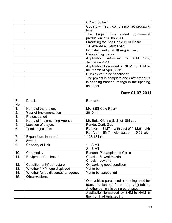| $CC - 4.00$ lakh                          |
|-------------------------------------------|
| Cooling – Freon, compressor reciprocating |
| type                                      |
| Project has stated<br>The<br>commercial   |
| production in 26.06.2011.                 |
| Marketing for Goa Horticulture Board.     |
| T/L Availed all Term Loan                 |
| Ist Installment in 2010 August paid.      |
| Using 20 kg crates.                       |
| Application submitted to SHM<br>Goa,      |
| January - 2011                            |
| Application forwarded to NHM by SHM in    |
| the month of April, 2011.                 |
| Subsidy yet to be sanctioned.             |
| The project is complete and entrepreneurs |
| is ripening banana, mango in the ripening |
| chamber.                                  |

### Date 01.07.2011

| <b>SI</b>        | <b>Details</b>                    | <b>Remarks</b>                                         |
|------------------|-----------------------------------|--------------------------------------------------------|
| No.              |                                   |                                                        |
| 1.               | Name of the project               | M/s SBS Cold Room                                      |
| 2.               | Year of Implementation            | 2010-11                                                |
| $\overline{3}$ . | Project period                    |                                                        |
| $\overline{4}$ . | Name of implementing Agency       | Mr. Bala Krishna S. Shet Shirsad                       |
| 5.               | Location of project               | Ponda, Curti, Goa                                      |
| $\overline{6}$ . | Total project cost                | Ref. van $-3$ MT $-$ with cost of $\degree$ 12.61 lakh |
|                  |                                   | Ref. Van $-$ 6MT $-$ with cost of $\degree$ 15.52 lakh |
| 7.               | <b>Expenditure incurred</b>       | 28.13 lakh                                             |
| 8.               | <b>Status</b>                     |                                                        |
| 9.               | Capacity of Unit                  | $1 - 3$ MT                                             |
|                  |                                   | $2 - 6$ MT                                             |
| 10.              | Commodity                         | Banana, Pineapple and Citrus                           |
| 11.              | <b>Equipment Purchased</b>        | Chasis - Sawraj Mazda                                  |
|                  |                                   | Chasis - Leyland                                       |
| 12.              | Condition of infrastructure       | On working good condition                              |
| 13.              | Whether NHM logo displayed        | Yet to be                                              |
| 14.              | Whether funds disbursed to agency | Yet to be sanctioned                                   |
| 15.              | <b>Observations</b>               |                                                        |
|                  |                                   | One vehicle purchased and being used for               |
|                  |                                   | transportation of fruits and vegetables.               |
|                  |                                   | Another vehicle is being purchased.                    |
|                  |                                   | Application forwarded by SHM to NHM in                 |
|                  |                                   | the month of April, 2011.                              |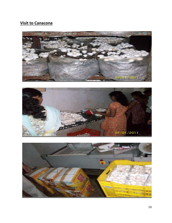### Visit to Canacona





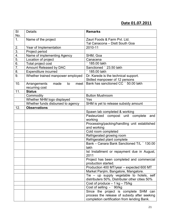### Date 01.07.2011

| SI<br>No.        | <b>Details</b>                     | <b>Remarks</b>                                                                              |
|------------------|------------------------------------|---------------------------------------------------------------------------------------------|
| 1.               | Name of the project                | Zauri Foods & Farm Pvt. Ltd.                                                                |
|                  |                                    | Tal Canacona - Distt South Goa                                                              |
| 2.               | Year of Implementation             | 2010-11                                                                                     |
| 3.               | Project period                     |                                                                                             |
| 4.               | Name of implementing Agency        | SHM, Goa                                                                                    |
| 5.               | Location of project                | Canacena                                                                                    |
| $\overline{6}$ . | Total project cost                 | 185.00 lakh                                                                                 |
| $\overline{7}$ . | Amount Released by DAC             | Sanctioned ` 23.50 lakh                                                                     |
| 8.               | <b>Expenditure incurred</b>        | 185.00 lakh                                                                                 |
| 9.               | Whether trained manpower employed  | Dr. Karede is the technical support.                                                        |
|                  |                                    | Skilled manpower of 12 persons                                                              |
| 10.              | Arrangements<br>made<br>to<br>meet | Bank has sanctioned CC ` 50.00 lakh                                                         |
|                  | recurring cost                     |                                                                                             |
| 11.              | <b>Status</b>                      |                                                                                             |
|                  | Commodity                          | <b>Button Mushroom</b>                                                                      |
|                  | Whether NHM logo displayed         | Yes                                                                                         |
|                  | Whether funds disbursed to agency  | SHM is yet to release subsidy amount                                                        |
| 12.              | <b>Observations</b>                |                                                                                             |
|                  |                                    | Spawn lab completed & working                                                               |
|                  |                                    | Pasteurized compost unit complete<br>and<br>working                                         |
|                  |                                    | Processing/packing/handling unit established                                                |
|                  |                                    | and working                                                                                 |
|                  |                                    | Cold room completed                                                                         |
|                  |                                    | Refrigerated growing room                                                                   |
|                  |                                    | Refrigerated plant complete                                                                 |
|                  |                                    | Bank - Canara Bank Sanctioned T/L ` 130.00                                                  |
|                  |                                    | lakh                                                                                        |
|                  |                                    | Ist Installment or repayment due in August,<br>2011                                         |
|                  |                                    | Project has been completed and commercial                                                   |
|                  |                                    | production started.                                                                         |
|                  |                                    | Production 400 MT/year - expected 600 MT                                                    |
|                  |                                    | Market Panjim, Bangalore, Mangalore.                                                        |
|                  |                                    | Tie – up supply vegetable to hotels, self<br>distributers 50%, Distributer other cities 50% |
|                  |                                    | Cost of produce $-1$ kg $-75$ /kg                                                           |
|                  |                                    | Cost of selling - ` 90/kg                                                                   |
|                  |                                    | Since the project is complete SHM can                                                       |
|                  |                                    | process the release of subsidy after seeking                                                |
|                  |                                    | completion certification from lending Bank.                                                 |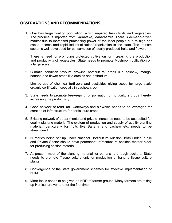#### OBSERVATIONS AND RECOMMENDATIONS

1. Goa has large floating population, which required fresh fruits and vegetables. The produce is imported from Karnataka, Maharashtra. There is demand-driven market due to increased purchasing power of the local people due to high per capita income and rapid industrialization/urbanization in the state. The tourism sector is well developed for consumption of locally produced fruits and flowers.

There is need for promoting protected cultivation for increasing the production and productivity of vegetables. State needs to promote Mushroom cultivation on a large scale.

2. Climatic condition favours growing horticultural crops like cashew, mango, banana and flower crops like orchids and anthurium.

Limited use of chemical fertilizers and pesticides giving scope for large scale organic certification specially in cashew crop.

- 3. State needs to promote beekeeping for pollination of horticulture crops thereby increasing the productivity.
- 4. Good network of road, rail, waterways and air which needs to be leveraged for creation of infrastructure for horticulture crops.
- 5. Existing network of departmental and private nurseries need to be accredited for quality planting material.The system of production and supply of quality planting material, particularly for fruits like Banana and cashew etc. needs to be streamlined.
- 6. Nurseries being set up under National Horticulture Mission, both under Public and Private Sector should have permanent infrastructure besides mother block for producing section material.
- 7. At present most of the planting material for banana is through suckers. State needs to promote Tissue culture unit for production of banana tissue culture plants.
- 8. Convergence of the state government schemes for effective implementation of NHM.
- 9. More focus needs to be given on HRD of farmer groups. Many farmers are taking up Horticulture venture for the first time.